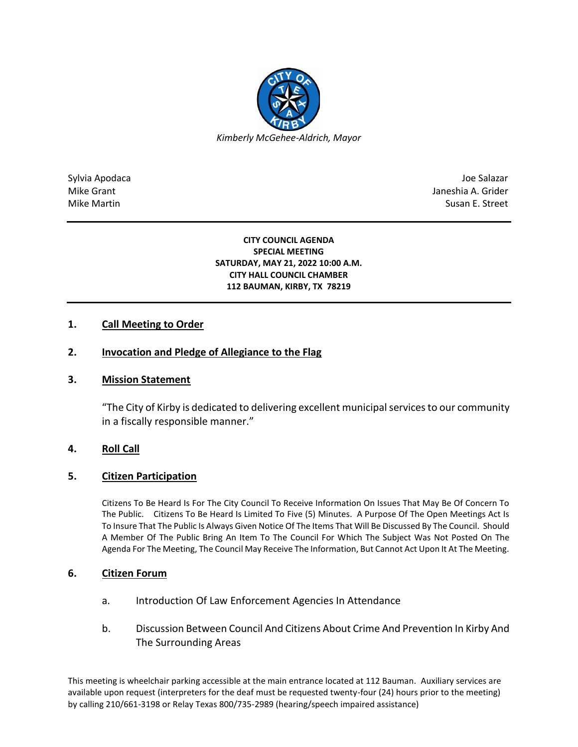

Sylvia Apodaca Joe Salazar Joe Salazar Joe Salazar Joe Salazar Joe Salazar Joe Salazar Joe Salazar Joe Salazar Mike Grant **Janeshia A. Grider** Janeshia A. Grider Mike Martin Susan E. Street

#### **CITY COUNCIL AGENDA SPECIAL MEETING SATURDAY, MAY 21, 2022 10:00 A.M. CITY HALL COUNCIL CHAMBER 112 BAUMAN, KIRBY, TX 78219**

# **1. Call Meeting to Order**

## **2. Invocation and Pledge of Allegiance to the Flag**

## **3. Mission Statement**

"The City of Kirby is dedicated to delivering excellent municipal services to our community in a fiscally responsible manner."

## **4. Roll Call**

## **5. Citizen Participation**

Citizens To Be Heard Is For The City Council To Receive Information On Issues That May Be Of Concern To The Public. Citizens To Be Heard Is Limited To Five (5) Minutes. A Purpose Of The Open Meetings Act Is To Insure That The Public Is Always Given Notice Of The Items That Will Be Discussed By The Council. Should A Member Of The Public Bring An Item To The Council For Which The Subject Was Not Posted On The Agenda For The Meeting, The Council May Receive The Information, But Cannot Act Upon It At The Meeting.

#### **6. Citizen Forum**

- a. Introduction Of Law Enforcement Agencies In Attendance
- b. Discussion Between Council And Citizens About Crime And Prevention In Kirby And The Surrounding Areas

This meeting is wheelchair parking accessible at the main entrance located at 112 Bauman. Auxiliary services are available upon request (interpreters for the deaf must be requested twenty-four (24) hours prior to the meeting) by calling 210/661-3198 or Relay Texas 800/735-2989 (hearing/speech impaired assistance)